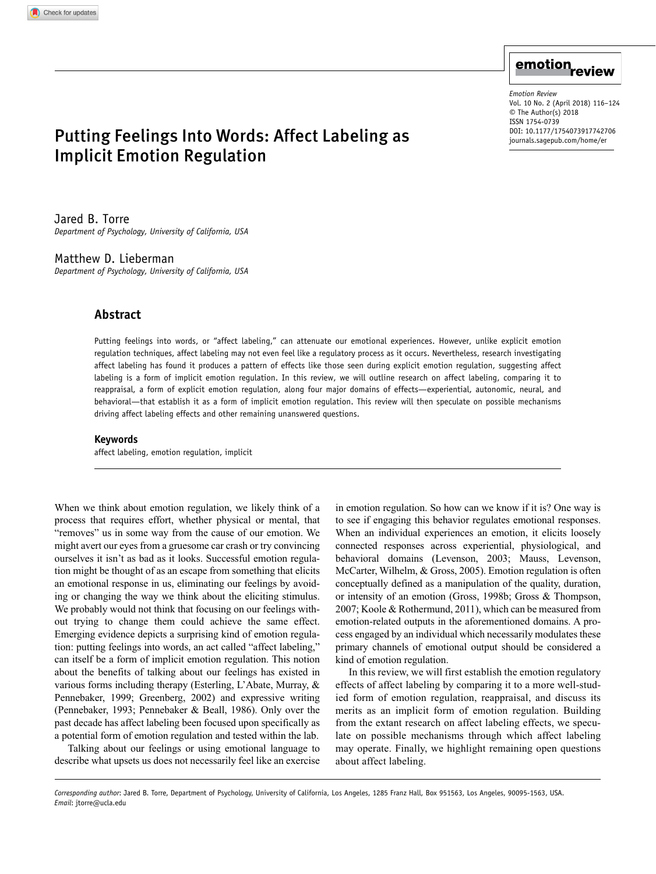

DOI: 10.1177/1754073917742706 *Emotion Review* Vol. 10 No. 2 (April 2018) 116–124 © The Author(s) 2018 ISSN 1754-0739 [journals.sagepub.com/home/er](https://journals.sagepub.com/home/er)

# Putting Feelings Into Words: Affect Labeling as Implicit Emotion Regulation

Jared B. Torre *Department of Psychology, University of California, USA*

Matthew D. Lieberman *Department of Psychology, University of California, USA*

### **Abstract**

Putting feelings into words, or "affect labeling," can attenuate our emotional experiences. However, unlike explicit emotion regulation techniques, affect labeling may not even feel like a regulatory process as it occurs. Nevertheless, research investigating affect labeling has found it produces a pattern of effects like those seen during explicit emotion regulation, suggesting affect labeling is a form of implicit emotion regulation. In this review, we will outline research on affect labeling, comparing it to reappraisal, a form of explicit emotion regulation, along four major domains of effects—experiential, autonomic, neural, and behavioral—that establish it as a form of implicit emotion regulation. This review will then speculate on possible mechanisms driving affect labeling effects and other remaining unanswered questions.

#### **Keywords**

affect labeling, emotion regulation, implicit

When we think about emotion regulation, we likely think of a process that requires effort, whether physical or mental, that "removes" us in some way from the cause of our emotion. We might avert our eyes from a gruesome car crash or try convincing ourselves it isn't as bad as it looks. Successful emotion regulation might be thought of as an escape from something that elicits an emotional response in us, eliminating our feelings by avoiding or changing the way we think about the eliciting stimulus. We probably would not think that focusing on our feelings without trying to change them could achieve the same effect. Emerging evidence depicts a surprising kind of emotion regulation: putting feelings into words, an act called "affect labeling," can itself be a form of implicit emotion regulation. This notion about the benefits of talking about our feelings has existed in various forms including therapy (Esterling, L'Abate, Murray, & Pennebaker, 1999; Greenberg, 2002) and expressive writing (Pennebaker, 1993; Pennebaker & Beall, 1986). Only over the past decade has affect labeling been focused upon specifically as a potential form of emotion regulation and tested within the lab.

Talking about our feelings or using emotional language to describe what upsets us does not necessarily feel like an exercise

in emotion regulation. So how can we know if it is? One way is to see if engaging this behavior regulates emotional responses. When an individual experiences an emotion, it elicits loosely connected responses across experiential, physiological, and behavioral domains (Levenson, 2003; Mauss, Levenson, McCarter, Wilhelm, & Gross, 2005). Emotion regulation is often conceptually defined as a manipulation of the quality, duration, or intensity of an emotion (Gross, 1998b; Gross & Thompson, 2007; Koole & Rothermund, 2011), which can be measured from emotion-related outputs in the aforementioned domains. A process engaged by an individual which necessarily modulates these primary channels of emotional output should be considered a kind of emotion regulation.

In this review, we will first establish the emotion regulatory effects of affect labeling by comparing it to a more well-studied form of emotion regulation, reappraisal, and discuss its merits as an implicit form of emotion regulation. Building from the extant research on affect labeling effects, we speculate on possible mechanisms through which affect labeling may operate. Finally, we highlight remaining open questions about affect labeling.

*Corresponding author*: Jared B. Torre, Department of Psychology, University of California, Los Angeles, 1285 Franz Hall, Box 951563, Los Angeles, 90095-1563, USA. *Email*: [jtorre@ucla.edu](mailto:jtorre@ucla.edu)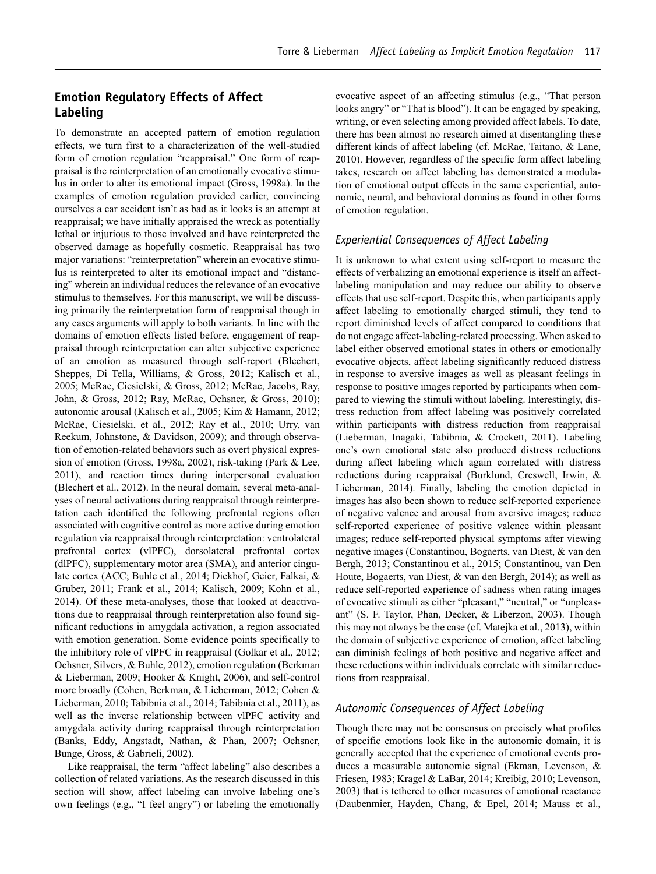# **Emotion Regulatory Effects of Affect Labeling**

To demonstrate an accepted pattern of emotion regulation effects, we turn first to a characterization of the well-studied form of emotion regulation "reappraisal." One form of reappraisal is the reinterpretation of an emotionally evocative stimulus in order to alter its emotional impact (Gross, 1998a). In the examples of emotion regulation provided earlier, convincing ourselves a car accident isn't as bad as it looks is an attempt at reappraisal; we have initially appraised the wreck as potentially lethal or injurious to those involved and have reinterpreted the observed damage as hopefully cosmetic. Reappraisal has two major variations: "reinterpretation" wherein an evocative stimulus is reinterpreted to alter its emotional impact and "distancing" wherein an individual reduces the relevance of an evocative stimulus to themselves. For this manuscript, we will be discussing primarily the reinterpretation form of reappraisal though in any cases arguments will apply to both variants. In line with the domains of emotion effects listed before, engagement of reappraisal through reinterpretation can alter subjective experience of an emotion as measured through self-report (Blechert, Sheppes, Di Tella, Williams, & Gross, 2012; Kalisch et al., 2005; McRae, Ciesielski, & Gross, 2012; McRae, Jacobs, Ray, John, & Gross, 2012; Ray, McRae, Ochsner, & Gross, 2010); autonomic arousal (Kalisch et al., 2005; Kim & Hamann, 2012; McRae, Ciesielski, et al., 2012; Ray et al., 2010; Urry, van Reekum, Johnstone, & Davidson, 2009); and through observation of emotion-related behaviors such as overt physical expression of emotion (Gross, 1998a, 2002), risk-taking (Park & Lee, 2011), and reaction times during interpersonal evaluation (Blechert et al., 2012). In the neural domain, several meta-analyses of neural activations during reappraisal through reinterpretation each identified the following prefrontal regions often associated with cognitive control as more active during emotion regulation via reappraisal through reinterpretation: ventrolateral prefrontal cortex (vlPFC), dorsolateral prefrontal cortex (dlPFC), supplementary motor area (SMA), and anterior cingulate cortex (ACC; Buhle et al., 2014; Diekhof, Geier, Falkai, & Gruber, 2011; Frank et al., 2014; Kalisch, 2009; Kohn et al., 2014). Of these meta-analyses, those that looked at deactivations due to reappraisal through reinterpretation also found significant reductions in amygdala activation, a region associated with emotion generation. Some evidence points specifically to the inhibitory role of vlPFC in reappraisal (Golkar et al., 2012; Ochsner, Silvers, & Buhle, 2012), emotion regulation (Berkman & Lieberman, 2009; Hooker & Knight, 2006), and self-control more broadly (Cohen, Berkman, & Lieberman, 2012; Cohen & Lieberman, 2010; Tabibnia et al., 2014; Tabibnia et al., 2011), as well as the inverse relationship between vlPFC activity and amygdala activity during reappraisal through reinterpretation (Banks, Eddy, Angstadt, Nathan, & Phan, 2007; Ochsner, Bunge, Gross, & Gabrieli, 2002).

Like reappraisal, the term "affect labeling" also describes a collection of related variations. As the research discussed in this section will show, affect labeling can involve labeling one's own feelings (e.g., "I feel angry") or labeling the emotionally evocative aspect of an affecting stimulus (e.g., "That person looks angry" or "That is blood"). It can be engaged by speaking, writing, or even selecting among provided affect labels. To date, there has been almost no research aimed at disentangling these different kinds of affect labeling (cf. McRae, Taitano, & Lane, 2010). However, regardless of the specific form affect labeling takes, research on affect labeling has demonstrated a modulation of emotional output effects in the same experiential, autonomic, neural, and behavioral domains as found in other forms of emotion regulation.

### *Experiential Consequences of Affect Labeling*

It is unknown to what extent using self-report to measure the effects of verbalizing an emotional experience is itself an affectlabeling manipulation and may reduce our ability to observe effects that use self-report. Despite this, when participants apply affect labeling to emotionally charged stimuli, they tend to report diminished levels of affect compared to conditions that do not engage affect-labeling-related processing. When asked to label either observed emotional states in others or emotionally evocative objects, affect labeling significantly reduced distress in response to aversive images as well as pleasant feelings in response to positive images reported by participants when compared to viewing the stimuli without labeling. Interestingly, distress reduction from affect labeling was positively correlated within participants with distress reduction from reappraisal (Lieberman, Inagaki, Tabibnia, & Crockett, 2011). Labeling one's own emotional state also produced distress reductions during affect labeling which again correlated with distress reductions during reappraisal (Burklund, Creswell, Irwin, & Lieberman, 2014). Finally, labeling the emotion depicted in images has also been shown to reduce self-reported experience of negative valence and arousal from aversive images; reduce self-reported experience of positive valence within pleasant images; reduce self-reported physical symptoms after viewing negative images (Constantinou, Bogaerts, van Diest, & van den Bergh, 2013; Constantinou et al., 2015; Constantinou, van Den Houte, Bogaerts, van Diest, & van den Bergh, 2014); as well as reduce self-reported experience of sadness when rating images of evocative stimuli as either "pleasant," "neutral," or "unpleasant" (S. F. Taylor, Phan, Decker, & Liberzon, 2003). Though this may not always be the case (cf. Matejka et al., 2013), within the domain of subjective experience of emotion, affect labeling can diminish feelings of both positive and negative affect and these reductions within individuals correlate with similar reductions from reappraisal.

# *Autonomic Consequences of Affect Labeling*

Though there may not be consensus on precisely what profiles of specific emotions look like in the autonomic domain, it is generally accepted that the experience of emotional events produces a measurable autonomic signal (Ekman, Levenson, & Friesen, 1983; Kragel & LaBar, 2014; Kreibig, 2010; Levenson, 2003) that is tethered to other measures of emotional reactance (Daubenmier, Hayden, Chang, & Epel, 2014; Mauss et al.,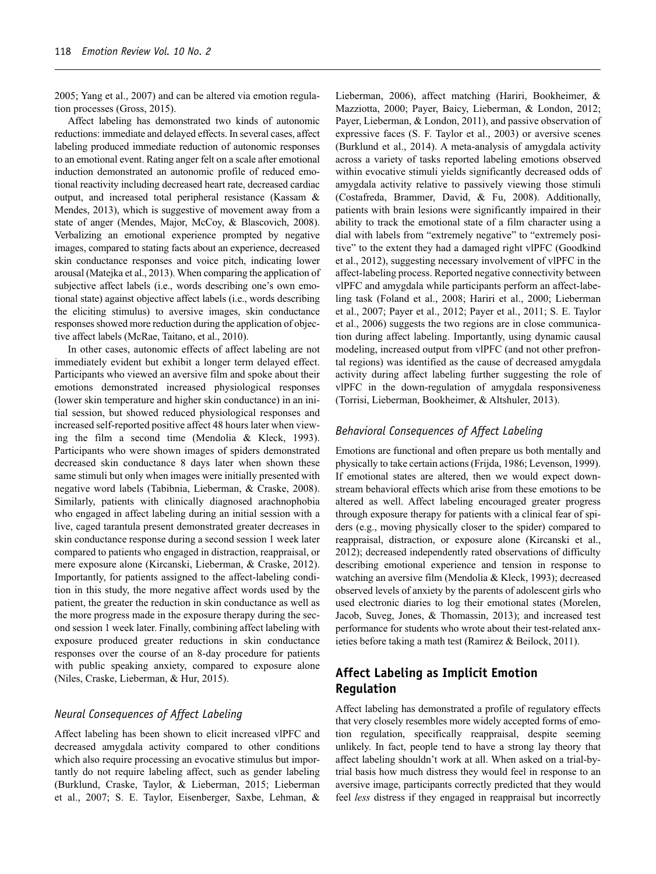2005; Yang et al., 2007) and can be altered via emotion regulation processes (Gross, 2015).

Affect labeling has demonstrated two kinds of autonomic reductions: immediate and delayed effects. In several cases, affect labeling produced immediate reduction of autonomic responses to an emotional event. Rating anger felt on a scale after emotional induction demonstrated an autonomic profile of reduced emotional reactivity including decreased heart rate, decreased cardiac output, and increased total peripheral resistance (Kassam & Mendes, 2013), which is suggestive of movement away from a state of anger (Mendes, Major, McCoy, & Blascovich, 2008). Verbalizing an emotional experience prompted by negative images, compared to stating facts about an experience, decreased skin conductance responses and voice pitch, indicating lower arousal (Matejka et al., 2013). When comparing the application of subjective affect labels (i.e., words describing one's own emotional state) against objective affect labels (i.e., words describing the eliciting stimulus) to aversive images, skin conductance responses showed more reduction during the application of objective affect labels (McRae, Taitano, et al., 2010).

In other cases, autonomic effects of affect labeling are not immediately evident but exhibit a longer term delayed effect. Participants who viewed an aversive film and spoke about their emotions demonstrated increased physiological responses (lower skin temperature and higher skin conductance) in an initial session, but showed reduced physiological responses and increased self-reported positive affect 48 hours later when viewing the film a second time (Mendolia & Kleck, 1993). Participants who were shown images of spiders demonstrated decreased skin conductance 8 days later when shown these same stimuli but only when images were initially presented with negative word labels (Tabibnia, Lieberman, & Craske, 2008). Similarly, patients with clinically diagnosed arachnophobia who engaged in affect labeling during an initial session with a live, caged tarantula present demonstrated greater decreases in skin conductance response during a second session 1 week later compared to patients who engaged in distraction, reappraisal, or mere exposure alone (Kircanski, Lieberman, & Craske, 2012). Importantly, for patients assigned to the affect-labeling condition in this study, the more negative affect words used by the patient, the greater the reduction in skin conductance as well as the more progress made in the exposure therapy during the second session 1 week later. Finally, combining affect labeling with exposure produced greater reductions in skin conductance responses over the course of an 8-day procedure for patients with public speaking anxiety, compared to exposure alone (Niles, Craske, Lieberman, & Hur, 2015).

### *Neural Consequences of Affect Labeling*

Affect labeling has been shown to elicit increased vlPFC and decreased amygdala activity compared to other conditions which also require processing an evocative stimulus but importantly do not require labeling affect, such as gender labeling (Burklund, Craske, Taylor, & Lieberman, 2015; Lieberman et al., 2007; S. E. Taylor, Eisenberger, Saxbe, Lehman, &

Lieberman, 2006), affect matching (Hariri, Bookheimer, & Mazziotta, 2000; Payer, Baicy, Lieberman, & London, 2012; Payer, Lieberman, & London, 2011), and passive observation of expressive faces (S. F. Taylor et al., 2003) or aversive scenes (Burklund et al., 2014). A meta-analysis of amygdala activity across a variety of tasks reported labeling emotions observed within evocative stimuli yields significantly decreased odds of amygdala activity relative to passively viewing those stimuli (Costafreda, Brammer, David, & Fu, 2008). Additionally, patients with brain lesions were significantly impaired in their ability to track the emotional state of a film character using a dial with labels from "extremely negative" to "extremely positive" to the extent they had a damaged right vlPFC (Goodkind et al., 2012), suggesting necessary involvement of vlPFC in the affect-labeling process. Reported negative connectivity between vlPFC and amygdala while participants perform an affect-labeling task (Foland et al., 2008; Hariri et al., 2000; Lieberman et al., 2007; Payer et al., 2012; Payer et al., 2011; S. E. Taylor et al., 2006) suggests the two regions are in close communication during affect labeling. Importantly, using dynamic causal modeling, increased output from vlPFC (and not other prefrontal regions) was identified as the cause of decreased amygdala activity during affect labeling further suggesting the role of vlPFC in the down-regulation of amygdala responsiveness (Torrisi, Lieberman, Bookheimer, & Altshuler, 2013).

### *Behavioral Consequences of Affect Labeling*

Emotions are functional and often prepare us both mentally and physically to take certain actions (Frijda, 1986; Levenson, 1999). If emotional states are altered, then we would expect downstream behavioral effects which arise from these emotions to be altered as well. Affect labeling encouraged greater progress through exposure therapy for patients with a clinical fear of spiders (e.g., moving physically closer to the spider) compared to reappraisal, distraction, or exposure alone (Kircanski et al., 2012); decreased independently rated observations of difficulty describing emotional experience and tension in response to watching an aversive film (Mendolia & Kleck, 1993); decreased observed levels of anxiety by the parents of adolescent girls who used electronic diaries to log their emotional states (Morelen, Jacob, Suveg, Jones, & Thomassin, 2013); and increased test performance for students who wrote about their test-related anxieties before taking a math test (Ramirez & Beilock, 2011).

# **Affect Labeling as Implicit Emotion Regulation**

Affect labeling has demonstrated a profile of regulatory effects that very closely resembles more widely accepted forms of emotion regulation, specifically reappraisal, despite seeming unlikely. In fact, people tend to have a strong lay theory that affect labeling shouldn't work at all. When asked on a trial-bytrial basis how much distress they would feel in response to an aversive image, participants correctly predicted that they would feel *less* distress if they engaged in reappraisal but incorrectly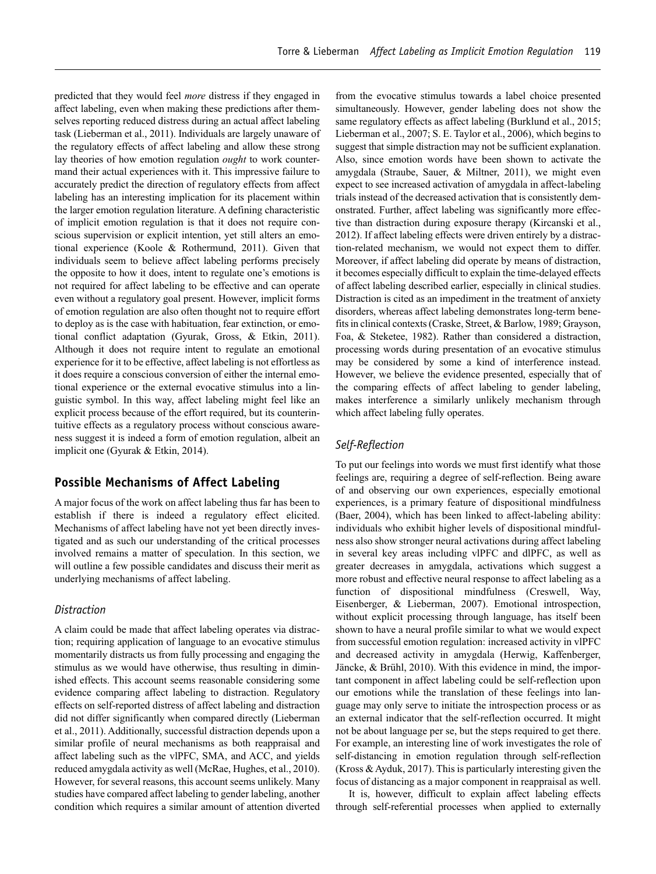predicted that they would feel *more* distress if they engaged in affect labeling, even when making these predictions after themselves reporting reduced distress during an actual affect labeling task (Lieberman et al., 2011). Individuals are largely unaware of the regulatory effects of affect labeling and allow these strong lay theories of how emotion regulation *ought* to work countermand their actual experiences with it. This impressive failure to accurately predict the direction of regulatory effects from affect labeling has an interesting implication for its placement within the larger emotion regulation literature. A defining characteristic of implicit emotion regulation is that it does not require conscious supervision or explicit intention, yet still alters an emotional experience (Koole & Rothermund, 2011). Given that individuals seem to believe affect labeling performs precisely the opposite to how it does, intent to regulate one's emotions is not required for affect labeling to be effective and can operate even without a regulatory goal present. However, implicit forms of emotion regulation are also often thought not to require effort to deploy as is the case with habituation, fear extinction, or emotional conflict adaptation (Gyurak, Gross, & Etkin, 2011). Although it does not require intent to regulate an emotional experience for it to be effective, affect labeling is not effortless as it does require a conscious conversion of either the internal emotional experience or the external evocative stimulus into a linguistic symbol. In this way, affect labeling might feel like an explicit process because of the effort required, but its counterintuitive effects as a regulatory process without conscious awareness suggest it is indeed a form of emotion regulation, albeit an implicit one (Gyurak & Etkin, 2014).

# **Possible Mechanisms of Affect Labeling**

A major focus of the work on affect labeling thus far has been to establish if there is indeed a regulatory effect elicited. Mechanisms of affect labeling have not yet been directly investigated and as such our understanding of the critical processes involved remains a matter of speculation. In this section, we will outline a few possible candidates and discuss their merit as underlying mechanisms of affect labeling.

### *Distraction*

A claim could be made that affect labeling operates via distraction; requiring application of language to an evocative stimulus momentarily distracts us from fully processing and engaging the stimulus as we would have otherwise, thus resulting in diminished effects. This account seems reasonable considering some evidence comparing affect labeling to distraction. Regulatory effects on self-reported distress of affect labeling and distraction did not differ significantly when compared directly (Lieberman et al., 2011). Additionally, successful distraction depends upon a similar profile of neural mechanisms as both reappraisal and affect labeling such as the vlPFC, SMA, and ACC, and yields reduced amygdala activity as well (McRae, Hughes, et al., 2010). However, for several reasons, this account seems unlikely. Many studies have compared affect labeling to gender labeling, another condition which requires a similar amount of attention diverted

from the evocative stimulus towards a label choice presented simultaneously. However, gender labeling does not show the same regulatory effects as affect labeling (Burklund et al., 2015; Lieberman et al., 2007; S. E. Taylor et al., 2006), which begins to suggest that simple distraction may not be sufficient explanation. Also, since emotion words have been shown to activate the amygdala (Straube, Sauer, & Miltner, 2011), we might even expect to see increased activation of amygdala in affect-labeling trials instead of the decreased activation that is consistently demonstrated. Further, affect labeling was significantly more effective than distraction during exposure therapy (Kircanski et al., 2012). If affect labeling effects were driven entirely by a distraction-related mechanism, we would not expect them to differ. Moreover, if affect labeling did operate by means of distraction, it becomes especially difficult to explain the time-delayed effects of affect labeling described earlier, especially in clinical studies. Distraction is cited as an impediment in the treatment of anxiety disorders, whereas affect labeling demonstrates long-term benefits in clinical contexts (Craske, Street, & Barlow, 1989; Grayson, Foa, & Steketee, 1982). Rather than considered a distraction, processing words during presentation of an evocative stimulus may be considered by some a kind of interference instead. However, we believe the evidence presented, especially that of the comparing effects of affect labeling to gender labeling, makes interference a similarly unlikely mechanism through which affect labeling fully operates.

### *Self-Reflection*

To put our feelings into words we must first identify what those feelings are, requiring a degree of self-reflection. Being aware of and observing our own experiences, especially emotional experiences, is a primary feature of dispositional mindfulness (Baer, 2004), which has been linked to affect-labeling ability: individuals who exhibit higher levels of dispositional mindfulness also show stronger neural activations during affect labeling in several key areas including vlPFC and dlPFC, as well as greater decreases in amygdala, activations which suggest a more robust and effective neural response to affect labeling as a function of dispositional mindfulness (Creswell, Way, Eisenberger, & Lieberman, 2007). Emotional introspection, without explicit processing through language, has itself been shown to have a neural profile similar to what we would expect from successful emotion regulation: increased activity in vlPFC and decreased activity in amygdala (Herwig, Kaffenberger, Jäncke, & Brühl, 2010). With this evidence in mind, the important component in affect labeling could be self-reflection upon our emotions while the translation of these feelings into language may only serve to initiate the introspection process or as an external indicator that the self-reflection occurred. It might not be about language per se, but the steps required to get there. For example, an interesting line of work investigates the role of self-distancing in emotion regulation through self-reflection (Kross & Ayduk, 2017). This is particularly interesting given the focus of distancing as a major component in reappraisal as well.

It is, however, difficult to explain affect labeling effects through self-referential processes when applied to externally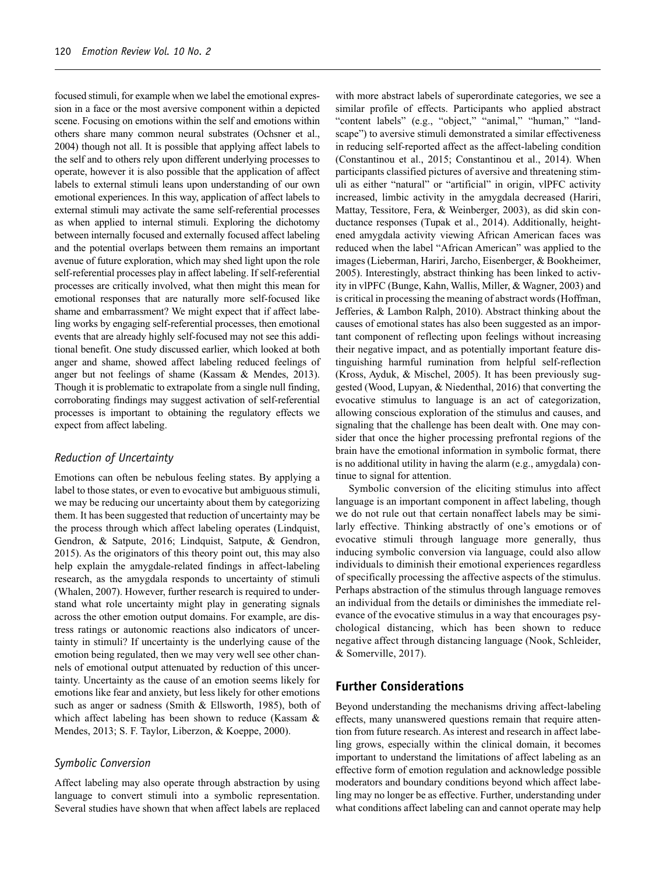focused stimuli, for example when we label the emotional expression in a face or the most aversive component within a depicted scene. Focusing on emotions within the self and emotions within others share many common neural substrates (Ochsner et al., 2004) though not all. It is possible that applying affect labels to the self and to others rely upon different underlying processes to operate, however it is also possible that the application of affect labels to external stimuli leans upon understanding of our own emotional experiences. In this way, application of affect labels to external stimuli may activate the same self-referential processes as when applied to internal stimuli. Exploring the dichotomy between internally focused and externally focused affect labeling and the potential overlaps between them remains an important avenue of future exploration, which may shed light upon the role self-referential processes play in affect labeling. If self-referential processes are critically involved, what then might this mean for emotional responses that are naturally more self-focused like shame and embarrassment? We might expect that if affect labeling works by engaging self-referential processes, then emotional events that are already highly self-focused may not see this additional benefit. One study discussed earlier, which looked at both anger and shame, showed affect labeling reduced feelings of anger but not feelings of shame (Kassam & Mendes, 2013). Though it is problematic to extrapolate from a single null finding, corroborating findings may suggest activation of self-referential processes is important to obtaining the regulatory effects we expect from affect labeling.

#### *Reduction of Uncertainty*

Emotions can often be nebulous feeling states. By applying a label to those states, or even to evocative but ambiguous stimuli, we may be reducing our uncertainty about them by categorizing them. It has been suggested that reduction of uncertainty may be the process through which affect labeling operates (Lindquist, Gendron, & Satpute, 2016; Lindquist, Satpute, & Gendron, 2015). As the originators of this theory point out, this may also help explain the amygdale-related findings in affect-labeling research, as the amygdala responds to uncertainty of stimuli (Whalen, 2007). However, further research is required to understand what role uncertainty might play in generating signals across the other emotion output domains. For example, are distress ratings or autonomic reactions also indicators of uncertainty in stimuli? If uncertainty is the underlying cause of the emotion being regulated, then we may very well see other channels of emotional output attenuated by reduction of this uncertainty. Uncertainty as the cause of an emotion seems likely for emotions like fear and anxiety, but less likely for other emotions such as anger or sadness (Smith & Ellsworth, 1985), both of which affect labeling has been shown to reduce (Kassam & Mendes, 2013; S. F. Taylor, Liberzon, & Koeppe, 2000).

### *Symbolic Conversion*

Affect labeling may also operate through abstraction by using language to convert stimuli into a symbolic representation. Several studies have shown that when affect labels are replaced

with more abstract labels of superordinate categories, we see a similar profile of effects. Participants who applied abstract "content labels" (e.g., "object," "animal," "human," "landscape") to aversive stimuli demonstrated a similar effectiveness in reducing self-reported affect as the affect-labeling condition (Constantinou et al., 2015; Constantinou et al., 2014). When participants classified pictures of aversive and threatening stimuli as either "natural" or "artificial" in origin, vlPFC activity increased, limbic activity in the amygdala decreased (Hariri, Mattay, Tessitore, Fera, & Weinberger, 2003), as did skin conductance responses (Tupak et al., 2014). Additionally, heightened amygdala activity viewing African American faces was reduced when the label "African American" was applied to the images (Lieberman, Hariri, Jarcho, Eisenberger, & Bookheimer, 2005). Interestingly, abstract thinking has been linked to activity in vlPFC (Bunge, Kahn, Wallis, Miller, & Wagner, 2003) and is critical in processing the meaning of abstract words (Hoffman, Jefferies, & Lambon Ralph, 2010). Abstract thinking about the causes of emotional states has also been suggested as an important component of reflecting upon feelings without increasing their negative impact, and as potentially important feature distinguishing harmful rumination from helpful self-reflection (Kross, Ayduk, & Mischel, 2005). It has been previously suggested (Wood, Lupyan, & Niedenthal, 2016) that converting the evocative stimulus to language is an act of categorization, allowing conscious exploration of the stimulus and causes, and signaling that the challenge has been dealt with. One may consider that once the higher processing prefrontal regions of the brain have the emotional information in symbolic format, there is no additional utility in having the alarm (e.g., amygdala) continue to signal for attention.

Symbolic conversion of the eliciting stimulus into affect language is an important component in affect labeling, though we do not rule out that certain nonaffect labels may be similarly effective. Thinking abstractly of one's emotions or of evocative stimuli through language more generally, thus inducing symbolic conversion via language, could also allow individuals to diminish their emotional experiences regardless of specifically processing the affective aspects of the stimulus. Perhaps abstraction of the stimulus through language removes an individual from the details or diminishes the immediate relevance of the evocative stimulus in a way that encourages psychological distancing, which has been shown to reduce negative affect through distancing language (Nook, Schleider, & Somerville, 2017).

### **Further Considerations**

Beyond understanding the mechanisms driving affect-labeling effects, many unanswered questions remain that require attention from future research. As interest and research in affect labeling grows, especially within the clinical domain, it becomes important to understand the limitations of affect labeling as an effective form of emotion regulation and acknowledge possible moderators and boundary conditions beyond which affect labeling may no longer be as effective. Further, understanding under what conditions affect labeling can and cannot operate may help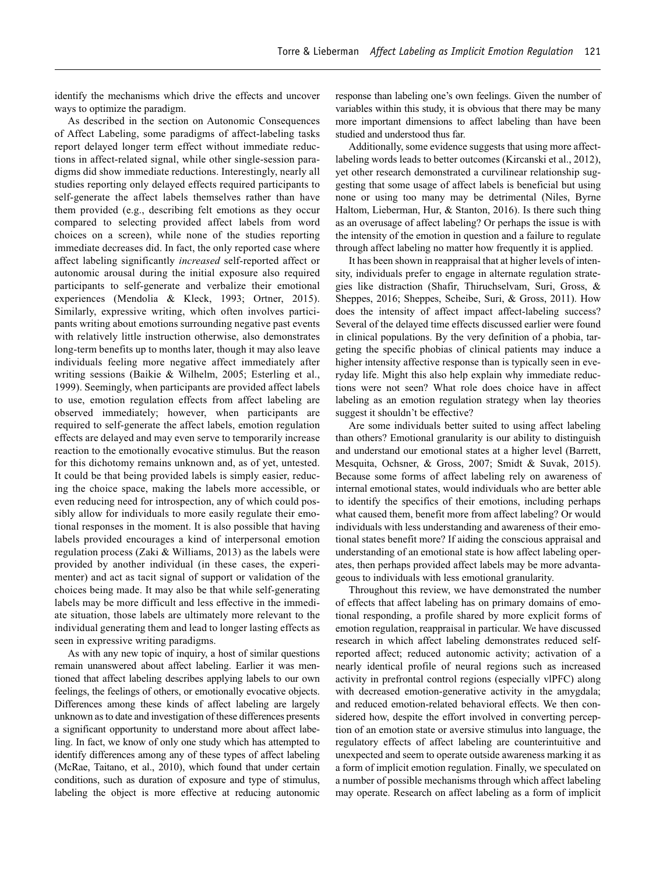identify the mechanisms which drive the effects and uncover ways to optimize the paradigm.

As described in the section on Autonomic Consequences of Affect Labeling, some paradigms of affect-labeling tasks report delayed longer term effect without immediate reductions in affect-related signal, while other single-session paradigms did show immediate reductions. Interestingly, nearly all studies reporting only delayed effects required participants to self-generate the affect labels themselves rather than have them provided (e.g., describing felt emotions as they occur compared to selecting provided affect labels from word choices on a screen), while none of the studies reporting immediate decreases did. In fact, the only reported case where affect labeling significantly *increased* self-reported affect or autonomic arousal during the initial exposure also required participants to self-generate and verbalize their emotional experiences (Mendolia & Kleck, 1993; Ortner, 2015). Similarly, expressive writing, which often involves participants writing about emotions surrounding negative past events with relatively little instruction otherwise, also demonstrates long-term benefits up to months later, though it may also leave individuals feeling more negative affect immediately after writing sessions (Baikie & Wilhelm, 2005; Esterling et al., 1999). Seemingly, when participants are provided affect labels to use, emotion regulation effects from affect labeling are observed immediately; however, when participants are required to self-generate the affect labels, emotion regulation effects are delayed and may even serve to temporarily increase reaction to the emotionally evocative stimulus. But the reason for this dichotomy remains unknown and, as of yet, untested. It could be that being provided labels is simply easier, reducing the choice space, making the labels more accessible, or even reducing need for introspection, any of which could possibly allow for individuals to more easily regulate their emotional responses in the moment. It is also possible that having labels provided encourages a kind of interpersonal emotion regulation process (Zaki & Williams, 2013) as the labels were provided by another individual (in these cases, the experimenter) and act as tacit signal of support or validation of the choices being made. It may also be that while self-generating labels may be more difficult and less effective in the immediate situation, those labels are ultimately more relevant to the individual generating them and lead to longer lasting effects as seen in expressive writing paradigms.

As with any new topic of inquiry, a host of similar questions remain unanswered about affect labeling. Earlier it was mentioned that affect labeling describes applying labels to our own feelings, the feelings of others, or emotionally evocative objects. Differences among these kinds of affect labeling are largely unknown as to date and investigation of these differences presents a significant opportunity to understand more about affect labeling. In fact, we know of only one study which has attempted to identify differences among any of these types of affect labeling (McRae, Taitano, et al., 2010), which found that under certain conditions, such as duration of exposure and type of stimulus, labeling the object is more effective at reducing autonomic response than labeling one's own feelings. Given the number of variables within this study, it is obvious that there may be many more important dimensions to affect labeling than have been studied and understood thus far.

Additionally, some evidence suggests that using more affectlabeling words leads to better outcomes (Kircanski et al., 2012), yet other research demonstrated a curvilinear relationship suggesting that some usage of affect labels is beneficial but using none or using too many may be detrimental (Niles, Byrne Haltom, Lieberman, Hur, & Stanton, 2016). Is there such thing as an overusage of affect labeling? Or perhaps the issue is with the intensity of the emotion in question and a failure to regulate through affect labeling no matter how frequently it is applied.

It has been shown in reappraisal that at higher levels of intensity, individuals prefer to engage in alternate regulation strategies like distraction (Shafir, Thiruchselvam, Suri, Gross, & Sheppes, 2016; Sheppes, Scheibe, Suri, & Gross, 2011). How does the intensity of affect impact affect-labeling success? Several of the delayed time effects discussed earlier were found in clinical populations. By the very definition of a phobia, targeting the specific phobias of clinical patients may induce a higher intensity affective response than is typically seen in everyday life. Might this also help explain why immediate reductions were not seen? What role does choice have in affect labeling as an emotion regulation strategy when lay theories suggest it shouldn't be effective?

Are some individuals better suited to using affect labeling than others? Emotional granularity is our ability to distinguish and understand our emotional states at a higher level (Barrett, Mesquita, Ochsner, & Gross, 2007; Smidt & Suvak, 2015). Because some forms of affect labeling rely on awareness of internal emotional states, would individuals who are better able to identify the specifics of their emotions, including perhaps what caused them, benefit more from affect labeling? Or would individuals with less understanding and awareness of their emotional states benefit more? If aiding the conscious appraisal and understanding of an emotional state is how affect labeling operates, then perhaps provided affect labels may be more advantageous to individuals with less emotional granularity.

Throughout this review, we have demonstrated the number of effects that affect labeling has on primary domains of emotional responding, a profile shared by more explicit forms of emotion regulation, reappraisal in particular. We have discussed research in which affect labeling demonstrates reduced selfreported affect; reduced autonomic activity; activation of a nearly identical profile of neural regions such as increased activity in prefrontal control regions (especially vlPFC) along with decreased emotion-generative activity in the amygdala; and reduced emotion-related behavioral effects. We then considered how, despite the effort involved in converting perception of an emotion state or aversive stimulus into language, the regulatory effects of affect labeling are counterintuitive and unexpected and seem to operate outside awareness marking it as a form of implicit emotion regulation. Finally, we speculated on a number of possible mechanisms through which affect labeling may operate. Research on affect labeling as a form of implicit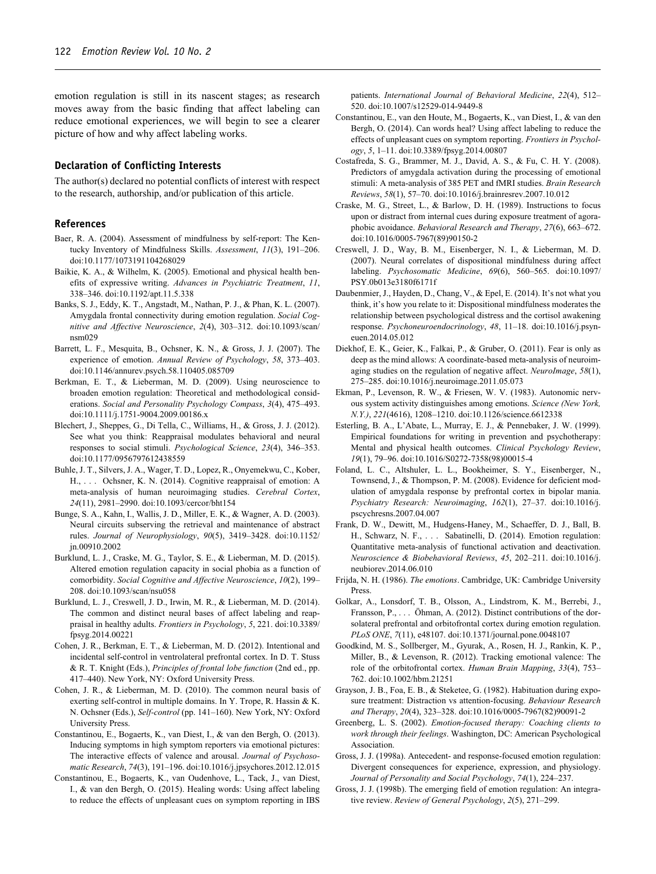emotion regulation is still in its nascent stages; as research moves away from the basic finding that affect labeling can reduce emotional experiences, we will begin to see a clearer picture of how and why affect labeling works.

#### **Declaration of Conflicting Interests**

The author(s) declared no potential conflicts of interest with respect to the research, authorship, and/or publication of this article.

#### **References**

- Baer, R. A. (2004). Assessment of mindfulness by self-report: The Kentucky Inventory of Mindfulness Skills. *Assessment*, *11*(3), 191–206. doi:10.1177/1073191104268029
- Baikie, K. A., & Wilhelm, K. (2005). Emotional and physical health benefits of expressive writing. *Advances in Psychiatric Treatment*, *11*, 338–346. doi:10.1192/apt.11.5.338
- Banks, S. J., Eddy, K. T., Angstadt, M., Nathan, P. J., & Phan, K. L. (2007). Amygdala frontal connectivity during emotion regulation. *Social Cognitive and Affective Neuroscience*, *2*(4), 303–312. doi:10.1093/scan/ nsm029
- Barrett, L. F., Mesquita, B., Ochsner, K. N., & Gross, J. J. (2007). The experience of emotion. *Annual Review of Psychology*, *58*, 373–403. doi:10.1146/annurev.psych.58.110405.085709
- Berkman, E. T., & Lieberman, M. D. (2009). Using neuroscience to broaden emotion regulation: Theoretical and methodological considerations. *Social and Personality Psychology Compass*, *3*(4), 475–493. doi:10.1111/j.1751-9004.2009.00186.x
- Blechert, J., Sheppes, G., Di Tella, C., Williams, H., & Gross, J. J. (2012). See what you think: Reappraisal modulates behavioral and neural responses to social stimuli. *Psychological Science*, *23*(4), 346–353. doi:10.1177/0956797612438559
- Buhle, J. T., Silvers, J. A., Wager, T. D., Lopez, R., Onyemekwu, C., Kober, H., . . . Ochsner, K. N. (2014). Cognitive reappraisal of emotion: A meta-analysis of human neuroimaging studies. *Cerebral Cortex*, *24*(11), 2981–2990. doi:10.1093/cercor/bht154
- Bunge, S. A., Kahn, I., Wallis, J. D., Miller, E. K., & Wagner, A. D. (2003). Neural circuits subserving the retrieval and maintenance of abstract rules. *Journal of Neurophysiology*, *90*(5), 3419–3428. doi:10.1152/ jn.00910.2002
- Burklund, L. J., Craske, M. G., Taylor, S. E., & Lieberman, M. D. (2015). Altered emotion regulation capacity in social phobia as a function of comorbidity. *Social Cognitive and Affective Neuroscience*, *10*(2), 199– 208. doi:10.1093/scan/nsu058
- Burklund, L. J., Creswell, J. D., Irwin, M. R., & Lieberman, M. D. (2014). The common and distinct neural bases of affect labeling and reappraisal in healthy adults. *Frontiers in Psychology*, *5*, 221. doi:10.3389/ fpsyg.2014.00221
- Cohen, J. R., Berkman, E. T., & Lieberman, M. D. (2012). Intentional and incidental self-control in ventrolateral prefrontal cortex. In D. T. Stuss & R. T. Knight (Eds.), *Principles of frontal lobe function* (2nd ed., pp. 417–440). New York, NY: Oxford University Press.
- Cohen, J. R., & Lieberman, M. D. (2010). The common neural basis of exerting self-control in multiple domains. In Y. Trope, R. Hassin & K. N. Ochsner (Eds.), *Self-control* (pp. 141–160). New York, NY: Oxford University Press.
- Constantinou, E., Bogaerts, K., van Diest, I., & van den Bergh, O. (2013). Inducing symptoms in high symptom reporters via emotional pictures: The interactive effects of valence and arousal. *Journal of Psychosomatic Research*, *74*(3), 191–196. doi:10.1016/j.jpsychores.2012.12.015
- Constantinou, E., Bogaerts, K., van Oudenhove, L., Tack, J., van Diest, I., & van den Bergh, O. (2015). Healing words: Using affect labeling to reduce the effects of unpleasant cues on symptom reporting in IBS

patients. *International Journal of Behavioral Medicine*, *22*(4), 512– 520. doi:10.1007/s12529-014-9449-8

- Constantinou, E., van den Houte, M., Bogaerts, K., van Diest, I., & van den Bergh, O. (2014). Can words heal? Using affect labeling to reduce the effects of unpleasant cues on symptom reporting. *Frontiers in Psychology*, *5*, 1–11. doi:10.3389/fpsyg.2014.00807
- Costafreda, S. G., Brammer, M. J., David, A. S., & Fu, C. H. Y. (2008). Predictors of amygdala activation during the processing of emotional stimuli: A meta-analysis of 385 PET and fMRI studies. *Brain Research Reviews*, *58*(1), 57–70. doi:10.1016/j.brainresrev.2007.10.012
- Craske, M. G., Street, L., & Barlow, D. H. (1989). Instructions to focus upon or distract from internal cues during exposure treatment of agoraphobic avoidance. *Behavioral Research and Therapy*, *27*(6), 663–672. doi:10.1016/0005-7967(89)90150-2
- Creswell, J. D., Way, B. M., Eisenberger, N. I., & Lieberman, M. D. (2007). Neural correlates of dispositional mindfulness during affect labeling. *Psychosomatic Medicine*, *69*(6), 560–565. doi:10.1097/ PSY.0b013e3180f6171f
- Daubenmier, J., Hayden, D., Chang, V., & Epel, E. (2014). It's not what you think, it's how you relate to it: Dispositional mindfulness moderates the relationship between psychological distress and the cortisol awakening response. *Psychoneuroendocrinology*, *48*, 11–18. doi:10.1016/j.psyneuen.2014.05.012
- Diekhof, E. K., Geier, K., Falkai, P., & Gruber, O. (2011). Fear is only as deep as the mind allows: A coordinate-based meta-analysis of neuroimaging studies on the regulation of negative affect. *NeuroImage*, *58*(1), 275–285. doi:10.1016/j.neuroimage.2011.05.073
- Ekman, P., Levenson, R. W., & Friesen, W. V. (1983). Autonomic nervous system activity distinguishes among emotions. *Science (New York, N.Y.)*, *221*(4616), 1208–1210. doi:10.1126/science.6612338
- Esterling, B. A., L'Abate, L., Murray, E. J., & Pennebaker, J. W. (1999). Empirical foundations for writing in prevention and psychotherapy: Mental and physical health outcomes. *Clinical Psychology Review*, *19*(1), 79–96. doi:10.1016/S0272-7358(98)00015-4
- Foland, L. C., Altshuler, L. L., Bookheimer, S. Y., Eisenberger, N., Townsend, J., & Thompson, P. M. (2008). Evidence for deficient modulation of amygdala response by prefrontal cortex in bipolar mania. *Psychiatry Research: Neuroimaging*, *162*(1), 27–37. doi:10.1016/j. pscychresns.2007.04.007
- Frank, D. W., Dewitt, M., Hudgens-Haney, M., Schaeffer, D. J., Ball, B. H., Schwarz, N. F., . . . Sabatinelli, D. (2014). Emotion regulation: Quantitative meta-analysis of functional activation and deactivation. *Neuroscience & Biobehavioral Reviews*, *45*, 202–211. doi:10.1016/j. neubiorev. 2014.06.010
- Frijda, N. H. (1986). *The emotions*. Cambridge, UK: Cambridge University Press.
- Golkar, A., Lonsdorf, T. B., Olsson, A., Lindstrom, K. M., Berrebi, J., Fransson, P., . . . Öhman, A. (2012). Distinct contributions of the dorsolateral prefrontal and orbitofrontal cortex during emotion regulation. *PLoS ONE*, *7*(11), e48107. doi:10.1371/journal.pone.0048107
- Goodkind, M. S., Sollberger, M., Gyurak, A., Rosen, H. J., Rankin, K. P., Miller, B., & Levenson, R. (2012). Tracking emotional valence: The role of the orbitofrontal cortex. *Human Brain Mapping*, *33*(4), 753– 762. doi:10.1002/hbm.21251
- Grayson, J. B., Foa, E. B., & Steketee, G. (1982). Habituation during exposure treatment: Distraction vs attention-focusing. *Behaviour Research and Therapy*, *20*(4), 323–328. doi:10.1016/0005-7967(82)90091-2
- Greenberg, L. S. (2002). *Emotion-focused therapy: Coaching clients to work through their feelings*. Washington, DC: American Psychological Association.
- Gross, J. J. (1998a). Antecedent- and response-focused emotion regulation: Divergent consequences for experience, expression, and physiology. *Journal of Personality and Social Psychology*, *74*(1), 224–237.
- Gross, J. J. (1998b). The emerging field of emotion regulation: An integrative review. *Review of General Psychology*, *2*(5), 271–299.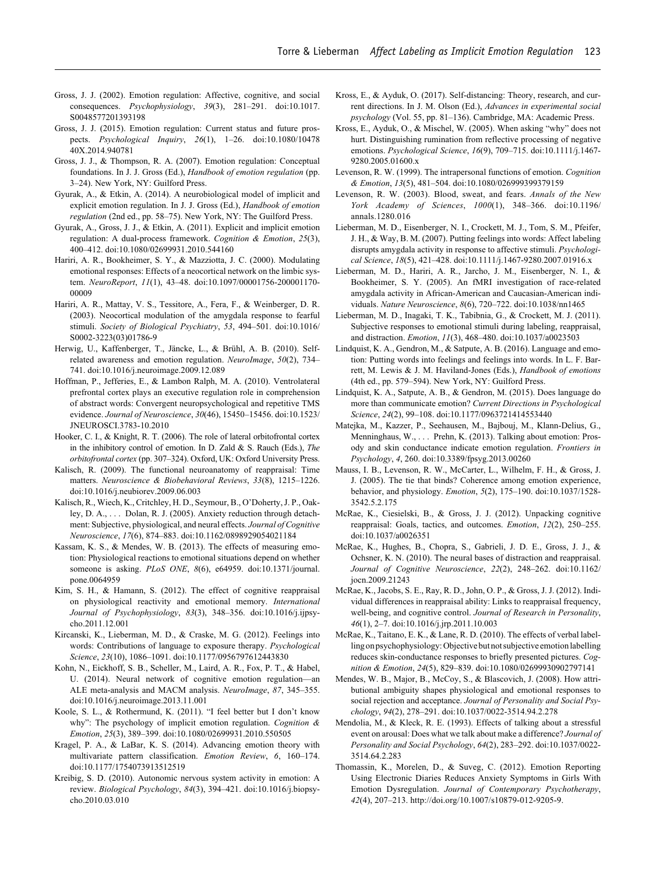- Gross, J. J. (2002). Emotion regulation: Affective, cognitive, and social consequences. *Psychophysiology*, *39*(3), 281–291. doi:10.1017. S0048577201393198
- Gross, J. J. (2015). Emotion regulation: Current status and future prospects. *Psychological Inquiry*, *26*(1), 1–26. doi:10.1080/10478 40X.2014.940781
- Gross, J. J., & Thompson, R. A. (2007). Emotion regulation: Conceptual foundations. In J. J. Gross (Ed.), *Handbook of emotion regulation* (pp. 3–24). New York, NY: Guilford Press.
- Gyurak, A., & Etkin, A. (2014). A neurobiological model of implicit and explicit emotion regulation. In J. J. Gross (Ed.), *Handbook of emotion regulation* (2nd ed., pp. 58–75). New York, NY: The Guilford Press.
- Gyurak, A., Gross, J. J., & Etkin, A. (2011). Explicit and implicit emotion regulation: A dual-process framework. *Cognition & Emotion*, *25*(3), 400–412. doi:10.1080/02699931.2010.544160
- Hariri, A. R., Bookheimer, S. Y., & Mazziotta, J. C. (2000). Modulating emotional responses: Effects of a neocortical network on the limbic system. *NeuroReport*, *11*(1), 43–48. doi:10.1097/00001756-200001170- 00009
- Hariri, A. R., Mattay, V. S., Tessitore, A., Fera, F., & Weinberger, D. R. (2003). Neocortical modulation of the amygdala response to fearful stimuli. *Society of Biological Psychiatry*, *53*, 494–501. doi:10.1016/ S0002-3223(03)01786-9
- Herwig, U., Kaffenberger, T., Jäncke, L., & Brühl, A. B. (2010). Selfrelated awareness and emotion regulation. *NeuroImage*, *50*(2), 734– 741. doi:10.1016/j.neuroimage.2009.12.089
- Hoffman, P., Jefferies, E., & Lambon Ralph, M. A. (2010). Ventrolateral prefrontal cortex plays an executive regulation role in comprehension of abstract words: Convergent neuropsychological and repetitive TMS evidence. *Journal of Neuroscience*, *30*(46), 15450–15456. doi:10.1523/ JNEUROSCI.3783-10.2010
- Hooker, C. I., & Knight, R. T. (2006). The role of lateral orbitofrontal cortex in the inhibitory control of emotion. In D. Zald & S. Rauch (Eds.), *The orbitofrontal cortex* (pp. 307–324). Oxford, UK: Oxford University Press.
- Kalisch, R. (2009). The functional neuroanatomy of reappraisal: Time matters. *Neuroscience & Biobehavioral Reviews*, *33*(8), 1215–1226. doi:10.1016/j.neubiorev.2009.06.003
- Kalisch, R., Wiech, K., Critchley, H. D., Seymour, B., O'Doherty, J. P., Oakley, D. A., . . . Dolan, R. J. (2005). Anxiety reduction through detachment: Subjective, physiological, and neural effects. *Journal of Cognitive Neuroscience*, *17*(6), 874–883. doi:10.1162/0898929054021184
- Kassam, K. S., & Mendes, W. B. (2013). The effects of measuring emotion: Physiological reactions to emotional situations depend on whether someone is asking. *PLoS ONE*, *8*(6), e64959. doi:10.1371/journal. pone.0064959
- Kim, S. H., & Hamann, S. (2012). The effect of cognitive reappraisal on physiological reactivity and emotional memory. *International Journal of Psychophysiology*, *83*(3), 348–356. doi:10.1016/j.ijpsycho.2011.12.001
- Kircanski, K., Lieberman, M. D., & Craske, M. G. (2012). Feelings into words: Contributions of language to exposure therapy. *Psychological Science*, *23*(10), 1086–1091. doi:10.1177/0956797612443830
- Kohn, N., Eickhoff, S. B., Scheller, M., Laird, A. R., Fox, P. T., & Habel, U. (2014). Neural network of cognitive emotion regulation—an ALE meta-analysis and MACM analysis. *NeuroImage*, *87*, 345–355. doi:10.1016/j.neuroimage.2013.11.001
- Koole, S. L., & Rothermund, K. (2011). "I feel better but I don't know why": The psychology of implicit emotion regulation. *Cognition & Emotion*, *25*(3), 389–399. doi:10.1080/02699931.2010.550505
- Kragel, P. A., & LaBar, K. S. (2014). Advancing emotion theory with multivariate pattern classification. *Emotion Review*, *6*, 160–174. doi:10.1177/1754073913512519
- Kreibig, S. D. (2010). Autonomic nervous system activity in emotion: A review. *Biological Psychology*, *84*(3), 394–421. doi:10.1016/j.biopsycho.2010.03.010
- Kross, E., & Ayduk, O. (2017). Self-distancing: Theory, research, and current directions. In J. M. Olson (Ed.), *Advances in experimental social psychology* (Vol. 55, pp. 81–136). Cambridge, MA: Academic Press.
- Kross, E., Ayduk, O., & Mischel, W. (2005). When asking "why" does not hurt. Distinguishing rumination from reflective processing of negative emotions. *Psychological Science*, *16*(9), 709–715. doi:10.1111/j.1467- 9280.2005.01600.x
- Levenson, R. W. (1999). The intrapersonal functions of emotion. *Cognition & Emotion*, *13*(5), 481–504. doi:10.1080/026999399379159
- Levenson, R. W. (2003). Blood, sweat, and fears. *Annals of the New York Academy of Sciences*, *1000*(1), 348–366. doi:10.1196/ annals.1280.016
- Lieberman, M. D., Eisenberger, N. I., Crockett, M. J., Tom, S. M., Pfeifer, J. H., & Way, B. M. (2007). Putting feelings into words: Affect labeling disrupts amygdala activity in response to affective stimuli. *Psychological Science*, *18*(5), 421–428. doi:10.1111/j.1467-9280.2007.01916.x
- Lieberman, M. D., Hariri, A. R., Jarcho, J. M., Eisenberger, N. I., & Bookheimer, S. Y. (2005). An fMRI investigation of race-related amygdala activity in African-American and Caucasian-American individuals. *Nature Neuroscience*, *8*(6), 720–722. doi:10.1038/nn1465
- Lieberman, M. D., Inagaki, T. K., Tabibnia, G., & Crockett, M. J. (2011). Subjective responses to emotional stimuli during labeling, reappraisal, and distraction. *Emotion*, *11*(3), 468–480. doi:10.1037/a0023503
- Lindquist, K. A., Gendron, M., & Satpute, A. B. (2016). Language and emotion: Putting words into feelings and feelings into words. In L. F. Barrett, M. Lewis & J. M. Haviland-Jones (Eds.), *Handbook of emotions* (4th ed., pp. 579–594). New York, NY: Guilford Press.
- Lindquist, K. A., Satpute, A. B., & Gendron, M. (2015). Does language do more than communicate emotion? *Current Directions in Psychological Science*, *24*(2), 99–108. doi:10.1177/0963721414553440
- Matejka, M., Kazzer, P., Seehausen, M., Bajbouj, M., Klann-Delius, G., Menninghaus, W., ... Prehn, K. (2013). Talking about emotion: Prosody and skin conductance indicate emotion regulation. *Frontiers in Psychology*, *4*, 260. doi:10.3389/fpsyg.2013.00260
- Mauss, I. B., Levenson, R. W., McCarter, L., Wilhelm, F. H., & Gross, J. J. (2005). The tie that binds? Coherence among emotion experience, behavior, and physiology. *Emotion*, *5*(2), 175–190. doi:10.1037/1528- 3542.5.2.175
- McRae, K., Ciesielski, B., & Gross, J. J. (2012). Unpacking cognitive reappraisal: Goals, tactics, and outcomes. *Emotion*, *12*(2), 250–255. doi:10.1037/a0026351
- McRae, K., Hughes, B., Chopra, S., Gabrieli, J. D. E., Gross, J. J., & Ochsner, K. N. (2010). The neural bases of distraction and reappraisal. *Journal of Cognitive Neuroscience*, *22*(2), 248–262. doi:10.1162/ iocn.2009.21243
- McRae, K., Jacobs, S. E., Ray, R. D., John, O. P., & Gross, J. J. (2012). Individual differences in reappraisal ability: Links to reappraisal frequency, well-being, and cognitive control. *Journal of Research in Personality*, *46*(1), 2–7. doi:10.1016/j.jrp.2011.10.003
- McRae, K., Taitano, E. K., & Lane, R. D. (2010). The effects of verbal labelling on psychophysiology: Objective but not subjective emotion labelling reduces skin-conductance responses to briefly presented pictures. *Cognition & Emotion*, *24*(5), 829–839. doi:10.1080/02699930902797141
- Mendes, W. B., Major, B., McCoy, S., & Blascovich, J. (2008). How attributional ambiguity shapes physiological and emotional responses to social rejection and acceptance. *Journal of Personality and Social Psychology*, *94*(2), 278–291. doi:10.1037/0022-3514.94.2.278
- Mendolia, M., & Kleck, R. E. (1993). Effects of talking about a stressful event on arousal: Does what we talk about make a difference? *Journal of Personality and Social Psychology*, *64*(2), 283–292. doi:10.1037/0022- 3514.64.2.283
- Thomassin, K., Morelen, D., & Suveg, C. (2012). Emotion Reporting Using Electronic Diaries Reduces Anxiety Symptoms in Girls With Emotion Dysregulation. *Journal of Contemporary Psychotherapy*, *42*(4), 207–213. [http://doi.org/10.1007/s10879-012-9205-9.](http://doi.org/10.1007/s10879-012-9205-9)